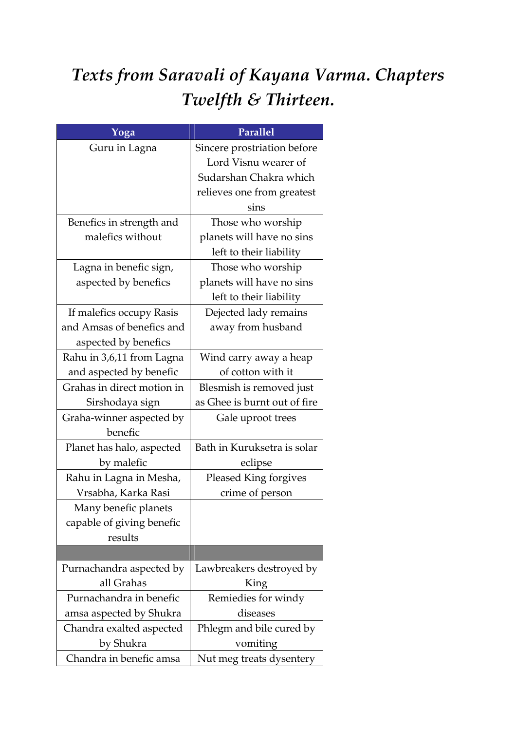## Texts from Saravali of Kayana Varma. Chapters Twelfth & Thirteen.

| Yoga                       | Parallel                     |
|----------------------------|------------------------------|
| Guru in Lagna              | Sincere prostriation before  |
|                            | Lord Visnu wearer of         |
|                            | Sudarshan Chakra which       |
|                            | relieves one from greatest   |
|                            | sins                         |
| Benefics in strength and   | Those who worship            |
| malefics without           | planets will have no sins    |
|                            | left to their liability      |
| Lagna in benefic sign,     | Those who worship            |
| aspected by benefics       | planets will have no sins    |
|                            | left to their liability      |
| If malefics occupy Rasis   | Dejected lady remains        |
| and Amsas of benefics and  | away from husband            |
| aspected by benefics       |                              |
| Rahu in 3,6,11 from Lagna  | Wind carry away a heap       |
| and aspected by benefic    | of cotton with it            |
| Grahas in direct motion in | Blesmish is removed just     |
| Sirshodaya sign            | as Ghee is burnt out of fire |
| Graha-winner aspected by   | Gale uproot trees            |
| benefic                    |                              |
| Planet has halo, aspected  | Bath in Kuruksetra is solar  |
| by malefic                 | eclipse                      |
| Rahu in Lagna in Mesha,    | Pleased King forgives        |
| Vrsabha, Karka Rasi        | crime of person              |
| Many benefic planets       |                              |
| capable of giving benefic  |                              |
| results                    |                              |
|                            |                              |
| Purnachandra aspected by   | Lawbreakers destroyed by     |
| all Grahas                 | King                         |
| Purnachandra in benefic    | Remiedies for windy          |
| amsa aspected by Shukra    | diseases                     |
| Chandra exalted aspected   | Phlegm and bile cured by     |
| by Shukra                  | vomiting                     |
| Chandra in benefic amsa    | Nut meg treats dysentery     |